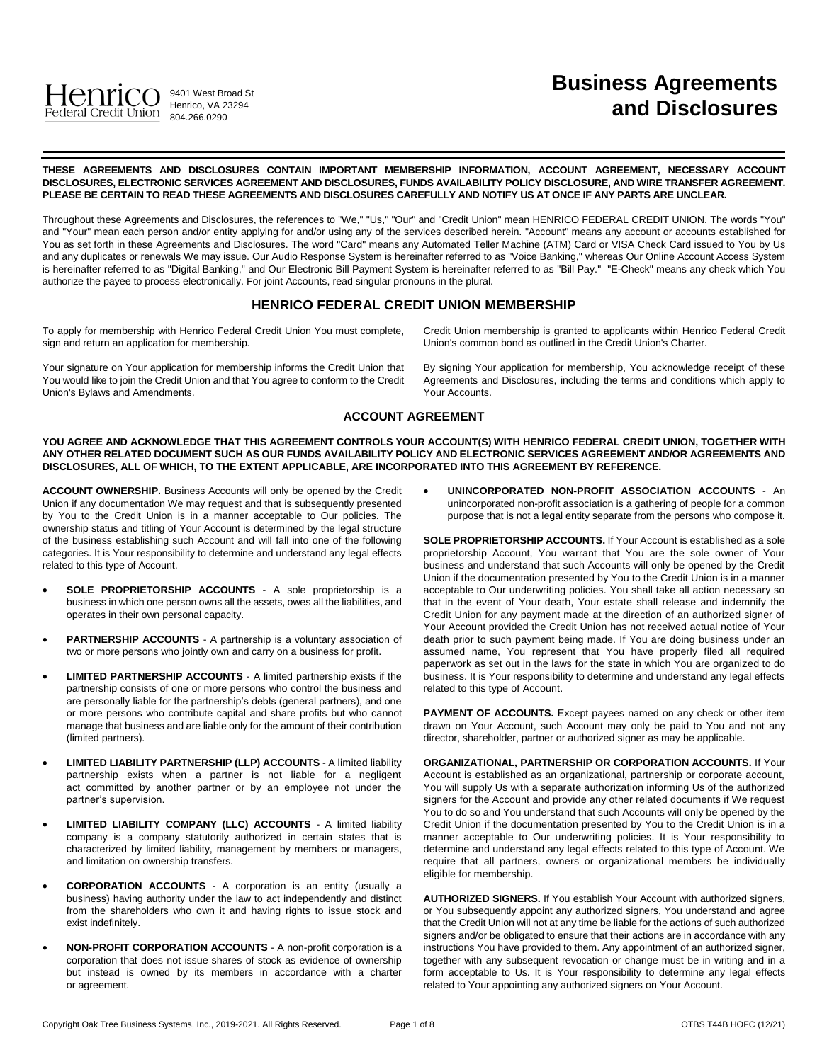

# **Business Agreements and Disclosures**

**THESE AGREEMENTS AND DISCLOSURES CONTAIN IMPORTANT MEMBERSHIP INFORMATION, ACCOUNT AGREEMENT, NECESSARY ACCOUNT DISCLOSURES, ELECTRONIC SERVICES AGREEMENT AND DISCLOSURES, FUNDS AVAILABILITY POLICY DISCLOSURE, AND WIRE TRANSFER AGREEMENT. PLEASE BE CERTAIN TO READ THESE AGREEMENTS AND DISCLOSURES CAREFULLY AND NOTIFY US AT ONCE IF ANY PARTS ARE UNCLEAR.**

Throughout these Agreements and Disclosures, the references to "We," "Us," "Our" and "Credit Union" mean HENRICO FEDERAL CREDIT UNION. The words "You" and "Your" mean each person and/or entity applying for and/or using any of the services described herein. "Account" means any account or accounts established for You as set forth in these Agreements and Disclosures. The word "Card" means any Automated Teller Machine (ATM) Card or VISA Check Card issued to You by Us and any duplicates or renewals We may issue. Our Audio Response System is hereinafter referred to as "Voice Banking," whereas Our Online Account Access System is hereinafter referred to as "Digital Banking," and Our Electronic Bill Payment System is hereinafter referred to as "Bill Pay." "E-Check" means any check which You authorize the payee to process electronically. For joint Accounts, read singular pronouns in the plural.

# **HENRICO FEDERAL CREDIT UNION MEMBERSHIP**

To apply for membership with Henrico Federal Credit Union You must complete, sign and return an application for membership.

Your signature on Your application for membership informs the Credit Union that You would like to join the Credit Union and that You agree to conform to the Credit Union's Bylaws and Amendments.

Credit Union membership is granted to applicants within Henrico Federal Credit Union's common bond as outlined in the Credit Union's Charter.

By signing Your application for membership, You acknowledge receipt of these Agreements and Disclosures, including the terms and conditions which apply to Your Accounts.

# **ACCOUNT AGREEMENT**

**YOU AGREE AND ACKNOWLEDGE THAT THIS AGREEMENT CONTROLS YOUR ACCOUNT(S) WITH HENRICO FEDERAL CREDIT UNION, TOGETHER WITH ANY OTHER RELATED DOCUMENT SUCH AS OUR FUNDS AVAILABILITY POLICY AND ELECTRONIC SERVICES AGREEMENT AND/OR AGREEMENTS AND DISCLOSURES, ALL OF WHICH, TO THE EXTENT APPLICABLE, ARE INCORPORATED INTO THIS AGREEMENT BY REFERENCE.**

**ACCOUNT OWNERSHIP.** Business Accounts will only be opened by the Credit Union if any documentation We may request and that is subsequently presented by You to the Credit Union is in a manner acceptable to Our policies. The ownership status and titling of Your Account is determined by the legal structure of the business establishing such Account and will fall into one of the following categories. It is Your responsibility to determine and understand any legal effects related to this type of Account.

- **SOLE PROPRIETORSHIP ACCOUNTS** A sole proprietorship is a business in which one person owns all the assets, owes all the liabilities, and operates in their own personal capacity.
- **PARTNERSHIP ACCOUNTS** A partnership is a voluntary association of two or more persons who jointly own and carry on a business for profit.
- **LIMITED PARTNERSHIP ACCOUNTS** A limited partnership exists if the partnership consists of one or more persons who control the business and are personally liable for the partnership's debts (general partners), and one or more persons who contribute capital and share profits but who cannot manage that business and are liable only for the amount of their contribution (limited partners).
- **LIMITED LIABILITY PARTNERSHIP (LLP) ACCOUNTS** A limited liability partnership exists when a partner is not liable for a negligent act committed by another partner or by an employee not under the partner's supervision.
- **LIMITED LIABILITY COMPANY (LLC) ACCOUNTS**  A limited liability company is a company statutorily authorized in certain states that is characterized by limited liability, management by members or managers, and limitation on ownership transfers.
- **CORPORATION ACCOUNTS** A corporation is an entity (usually a business) having authority under the law to act independently and distinct from the shareholders who own it and having rights to issue stock and exist indefinitely.
- **NON-PROFIT CORPORATION ACCOUNTS**  A non-profit corporation is a corporation that does not issue shares of stock as evidence of ownership but instead is owned by its members in accordance with a charter or agreement.

 **UNINCORPORATED NON-PROFIT ASSOCIATION ACCOUNTS** - An unincorporated non-profit association is a gathering of people for a common purpose that is not a legal entity separate from the persons who compose it.

**SOLE PROPRIETORSHIP ACCOUNTS.** If Your Account is established as a sole proprietorship Account, You warrant that You are the sole owner of Your business and understand that such Accounts will only be opened by the Credit Union if the documentation presented by You to the Credit Union is in a manner acceptable to Our underwriting policies. You shall take all action necessary so that in the event of Your death, Your estate shall release and indemnify the Credit Union for any payment made at the direction of an authorized signer of Your Account provided the Credit Union has not received actual notice of Your death prior to such payment being made. If You are doing business under an assumed name, You represent that You have properly filed all required paperwork as set out in the laws for the state in which You are organized to do business. It is Your responsibility to determine and understand any legal effects related to this type of Account.

PAYMENT OF ACCOUNTS. Except payees named on any check or other item drawn on Your Account, such Account may only be paid to You and not any director, shareholder, partner or authorized signer as may be applicable.

**ORGANIZATIONAL, PARTNERSHIP OR CORPORATION ACCOUNTS.** If Your Account is established as an organizational, partnership or corporate account, You will supply Us with a separate authorization informing Us of the authorized signers for the Account and provide any other related documents if We request You to do so and You understand that such Accounts will only be opened by the Credit Union if the documentation presented by You to the Credit Union is in a manner acceptable to Our underwriting policies. It is Your responsibility to determine and understand any legal effects related to this type of Account. We require that all partners, owners or organizational members be individually eligible for membership.

**AUTHORIZED SIGNERS.** If You establish Your Account with authorized signers, or You subsequently appoint any authorized signers, You understand and agree that the Credit Union will not at any time be liable for the actions of such authorized signers and/or be obligated to ensure that their actions are in accordance with any instructions You have provided to them. Any appointment of an authorized signer, together with any subsequent revocation or change must be in writing and in a form acceptable to Us. It is Your responsibility to determine any legal effects related to Your appointing any authorized signers on Your Account.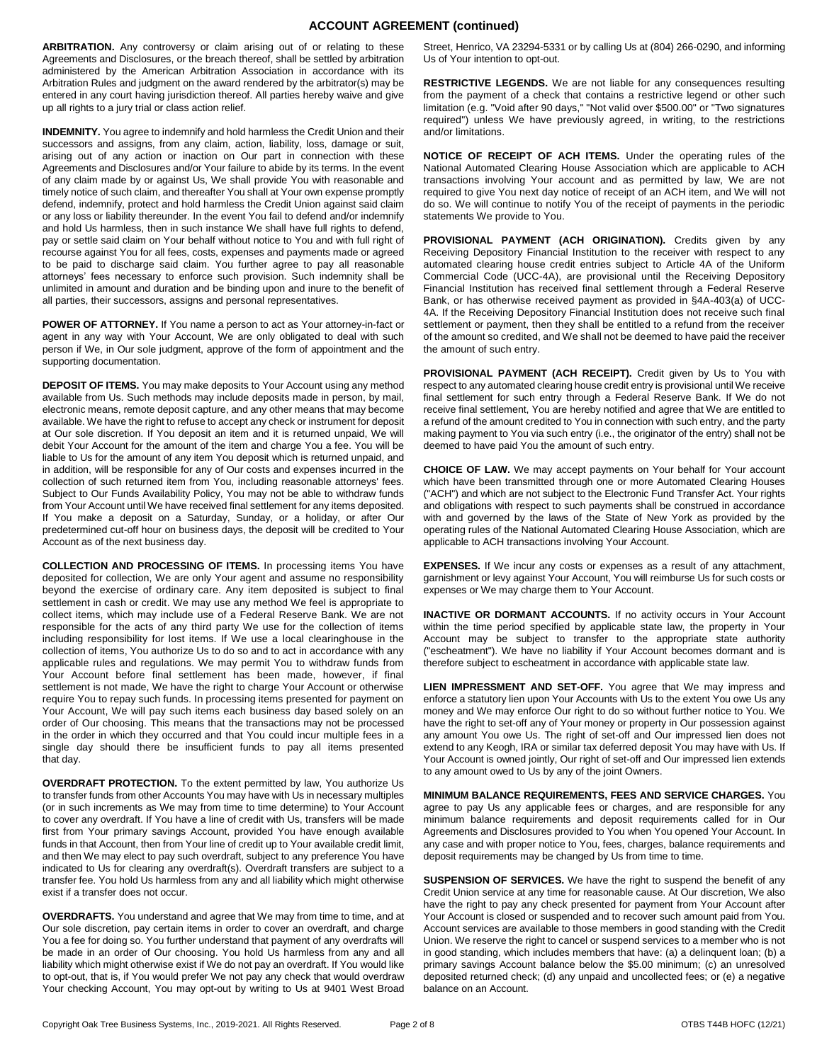# **ACCOUNT AGREEMENT (continued)**

**ARBITRATION.** Any controversy or claim arising out of or relating to these Agreements and Disclosures, or the breach thereof, shall be settled by arbitration administered by the American Arbitration Association in accordance with its Arbitration Rules and judgment on the award rendered by the arbitrator(s) may be entered in any court having jurisdiction thereof. All parties hereby waive and give up all rights to a jury trial or class action relief.

**INDEMNITY.** You agree to indemnify and hold harmless the Credit Union and their successors and assigns, from any claim, action, liability, loss, damage or suit, arising out of any action or inaction on Our part in connection with these Agreements and Disclosures and/or Your failure to abide by its terms. In the event of any claim made by or against Us, We shall provide You with reasonable and timely notice of such claim, and thereafter You shall at Your own expense promptly defend, indemnify, protect and hold harmless the Credit Union against said claim or any loss or liability thereunder. In the event You fail to defend and/or indemnify and hold Us harmless, then in such instance We shall have full rights to defend, pay or settle said claim on Your behalf without notice to You and with full right of recourse against You for all fees, costs, expenses and payments made or agreed to be paid to discharge said claim. You further agree to pay all reasonable attorneys' fees necessary to enforce such provision. Such indemnity shall be unlimited in amount and duration and be binding upon and inure to the benefit of all parties, their successors, assigns and personal representatives.

**POWER OF ATTORNEY.** If You name a person to act as Your attorney-in-fact or agent in any way with Your Account, We are only obligated to deal with such person if We, in Our sole judgment, approve of the form of appointment and the supporting documentation.

**DEPOSIT OF ITEMS.** You may make deposits to Your Account using any method available from Us. Such methods may include deposits made in person, by mail, electronic means, remote deposit capture, and any other means that may become available. We have the right to refuse to accept any check or instrument for deposit at Our sole discretion. If You deposit an item and it is returned unpaid, We will debit Your Account for the amount of the item and charge You a fee. You will be liable to Us for the amount of any item You deposit which is returned unpaid, and in addition, will be responsible for any of Our costs and expenses incurred in the collection of such returned item from You, including reasonable attorneys' fees. Subject to Our Funds Availability Policy, You may not be able to withdraw funds from Your Account until We have received final settlement for any items deposited. If You make a deposit on a Saturday, Sunday, or a holiday, or after Our predetermined cut-off hour on business days, the deposit will be credited to Your Account as of the next business day.

**COLLECTION AND PROCESSING OF ITEMS.** In processing items You have deposited for collection, We are only Your agent and assume no responsibility beyond the exercise of ordinary care. Any item deposited is subject to final settlement in cash or credit. We may use any method We feel is appropriate to collect items, which may include use of a Federal Reserve Bank. We are not responsible for the acts of any third party We use for the collection of items including responsibility for lost items. If We use a local clearinghouse in the collection of items, You authorize Us to do so and to act in accordance with any applicable rules and regulations. We may permit You to withdraw funds from Your Account before final settlement has been made, however, if final settlement is not made, We have the right to charge Your Account or otherwise require You to repay such funds. In processing items presented for payment on Your Account, We will pay such items each business day based solely on an order of Our choosing. This means that the transactions may not be processed in the order in which they occurred and that You could incur multiple fees in a single day should there be insufficient funds to pay all items presented that day.

**OVERDRAFT PROTECTION.** To the extent permitted by law, You authorize Us to transfer funds from other Accounts You may have with Us in necessary multiples (or in such increments as We may from time to time determine) to Your Account to cover any overdraft. If You have a line of credit with Us, transfers will be made first from Your primary savings Account, provided You have enough available funds in that Account, then from Your line of credit up to Your available credit limit, and then We may elect to pay such overdraft, subject to any preference You have indicated to Us for clearing any overdraft(s). Overdraft transfers are subject to a transfer fee. You hold Us harmless from any and all liability which might otherwise exist if a transfer does not occur.

**OVERDRAFTS.** You understand and agree that We may from time to time, and at Our sole discretion, pay certain items in order to cover an overdraft, and charge You a fee for doing so. You further understand that payment of any overdrafts will be made in an order of Our choosing. You hold Us harmless from any and all liability which might otherwise exist if We do not pay an overdraft. If You would like to opt-out, that is, if You would prefer We not pay any check that would overdraw Your checking Account, You may opt-out by writing to Us at 9401 West Broad Street, Henrico, VA 23294-5331 or by calling Us at (804) 266-0290, and informing Us of Your intention to opt-out.

**RESTRICTIVE LEGENDS.** We are not liable for any consequences resulting from the payment of a check that contains a restrictive legend or other such limitation (e.g. "Void after 90 days," "Not valid over \$500.00" or "Two signatures required") unless We have previously agreed, in writing, to the restrictions and/or limitations.

**NOTICE OF RECEIPT OF ACH ITEMS.** Under the operating rules of the National Automated Clearing House Association which are applicable to ACH transactions involving Your account and as permitted by law, We are not required to give You next day notice of receipt of an ACH item, and We will not do so. We will continue to notify You of the receipt of payments in the periodic statements We provide to You.

PROVISIONAL PAYMENT (ACH ORIGINATION). Credits given by any Receiving Depository Financial Institution to the receiver with respect to any automated clearing house credit entries subject to Article 4A of the Uniform Commercial Code (UCC-4A), are provisional until the Receiving Depository Financial Institution has received final settlement through a Federal Reserve Bank, or has otherwise received payment as provided in §4A-403(a) of UCC-4A. If the Receiving Depository Financial Institution does not receive such final settlement or payment, then they shall be entitled to a refund from the receiver of the amount so credited, and We shall not be deemed to have paid the receiver the amount of such entry.

PROVISIONAL PAYMENT (ACH RECEIPT). Credit given by Us to You with respect to any automated clearing house credit entry is provisional until We receive final settlement for such entry through a Federal Reserve Bank. If We do not receive final settlement, You are hereby notified and agree that We are entitled to a refund of the amount credited to You in connection with such entry, and the party making payment to You via such entry (i.e., the originator of the entry) shall not be deemed to have paid You the amount of such entry.

**CHOICE OF LAW.** We may accept payments on Your behalf for Your account which have been transmitted through one or more Automated Clearing Houses ("ACH") and which are not subject to the Electronic Fund Transfer Act. Your rights and obligations with respect to such payments shall be construed in accordance with and governed by the laws of the State of New York as provided by the operating rules of the National Automated Clearing House Association, which are applicable to ACH transactions involving Your Account.

**EXPENSES.** If We incur any costs or expenses as a result of any attachment, garnishment or levy against Your Account, You will reimburse Us for such costs or expenses or We may charge them to Your Account.

**INACTIVE OR DORMANT ACCOUNTS.** If no activity occurs in Your Account within the time period specified by applicable state law, the property in Your Account may be subject to transfer to the appropriate state authority ("escheatment"). We have no liability if Your Account becomes dormant and is therefore subject to escheatment in accordance with applicable state law.

**LIEN IMPRESSMENT AND SET-OFF.** You agree that We may impress and enforce a statutory lien upon Your Accounts with Us to the extent You owe Us any money and We may enforce Our right to do so without further notice to You. We have the right to set-off any of Your money or property in Our possession against any amount You owe Us. The right of set-off and Our impressed lien does not extend to any Keogh, IRA or similar tax deferred deposit You may have with Us. If Your Account is owned jointly, Our right of set-off and Our impressed lien extends to any amount owed to Us by any of the joint Owners.

**MINIMUM BALANCE REQUIREMENTS, FEES AND SERVICE CHARGES.** You agree to pay Us any applicable fees or charges, and are responsible for any minimum balance requirements and deposit requirements called for in Our Agreements and Disclosures provided to You when You opened Your Account. In any case and with proper notice to You, fees, charges, balance requirements and deposit requirements may be changed by Us from time to time.

**SUSPENSION OF SERVICES.** We have the right to suspend the benefit of any Credit Union service at any time for reasonable cause. At Our discretion, We also have the right to pay any check presented for payment from Your Account after Your Account is closed or suspended and to recover such amount paid from You. Account services are available to those members in good standing with the Credit Union. We reserve the right to cancel or suspend services to a member who is not in good standing, which includes members that have: (a) a delinquent loan; (b) a primary savings Account balance below the \$5.00 minimum; (c) an unresolved deposited returned check; (d) any unpaid and uncollected fees; or (e) a negative balance on an Account.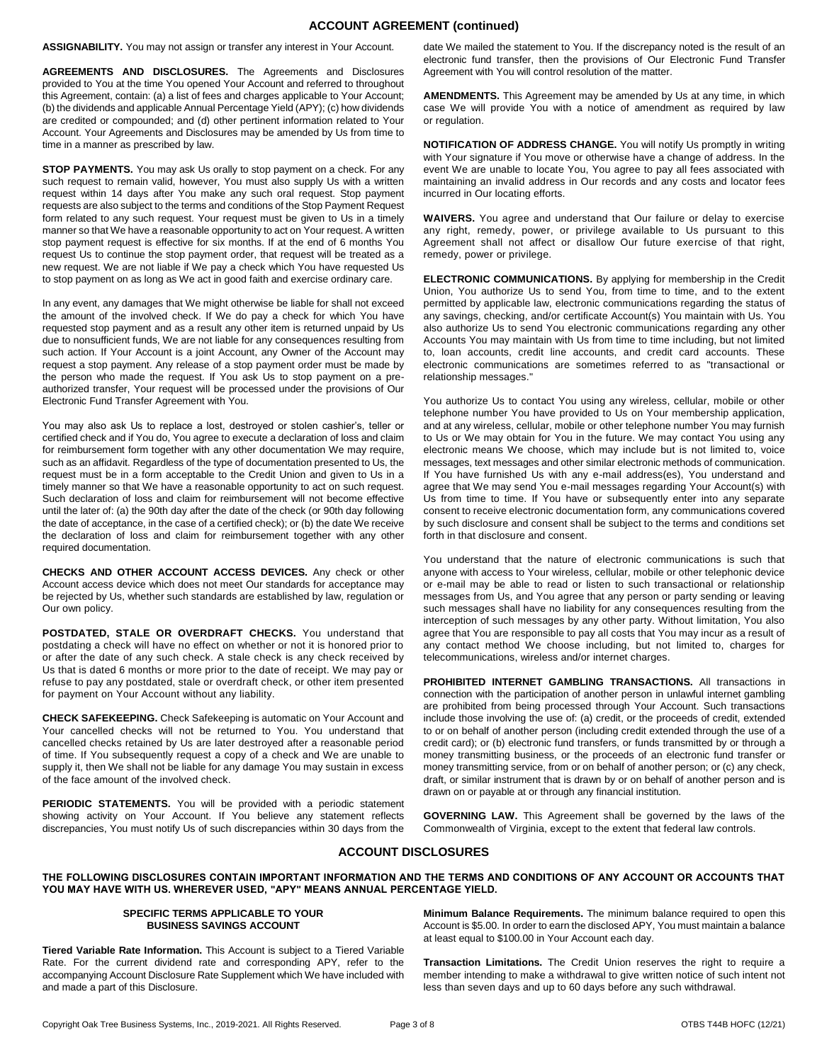## **ACCOUNT AGREEMENT (continued)**

**ASSIGNABILITY.** You may not assign or transfer any interest in Your Account.

**AGREEMENTS AND DISCLOSURES.** The Agreements and Disclosures provided to You at the time You opened Your Account and referred to throughout this Agreement, contain: (a) a list of fees and charges applicable to Your Account; (b) the dividends and applicable Annual Percentage Yield (APY); (c) how dividends are credited or compounded; and (d) other pertinent information related to Your Account. Your Agreements and Disclosures may be amended by Us from time to time in a manner as prescribed by law.

**STOP PAYMENTS.** You may ask Us orally to stop payment on a check. For any such request to remain valid, however, You must also supply Us with a written request within 14 days after You make any such oral request. Stop payment requests are also subject to the terms and conditions of the Stop Payment Request form related to any such request. Your request must be given to Us in a timely manner so that We have a reasonable opportunity to act on Your request. A written stop payment request is effective for six months. If at the end of 6 months You request Us to continue the stop payment order, that request will be treated as a new request. We are not liable if We pay a check which You have requested Us to stop payment on as long as We act in good faith and exercise ordinary care.

In any event, any damages that We might otherwise be liable for shall not exceed the amount of the involved check. If We do pay a check for which You have requested stop payment and as a result any other item is returned unpaid by Us due to nonsufficient funds, We are not liable for any consequences resulting from such action. If Your Account is a joint Account, any Owner of the Account may request a stop payment. Any release of a stop payment order must be made by the person who made the request. If You ask Us to stop payment on a preauthorized transfer, Your request will be processed under the provisions of Our Electronic Fund Transfer Agreement with You.

You may also ask Us to replace a lost, destroyed or stolen cashier's, teller or certified check and if You do, You agree to execute a declaration of loss and claim for reimbursement form together with any other documentation We may require, such as an affidavit. Regardless of the type of documentation presented to Us, the request must be in a form acceptable to the Credit Union and given to Us in a timely manner so that We have a reasonable opportunity to act on such request. Such declaration of loss and claim for reimbursement will not become effective until the later of: (a) the 90th day after the date of the check (or 90th day following the date of acceptance, in the case of a certified check); or (b) the date We receive the declaration of loss and claim for reimbursement together with any other required documentation.

**CHECKS AND OTHER ACCOUNT ACCESS DEVICES.** Any check or other Account access device which does not meet Our standards for acceptance may be rejected by Us, whether such standards are established by law, regulation or Our own policy.

**POSTDATED, STALE OR OVERDRAFT CHECKS.** You understand that postdating a check will have no effect on whether or not it is honored prior to or after the date of any such check. A stale check is any check received by Us that is dated 6 months or more prior to the date of receipt. We may pay or refuse to pay any postdated, stale or overdraft check, or other item presented for payment on Your Account without any liability.

**CHECK SAFEKEEPING.** Check Safekeeping is automatic on Your Account and Your cancelled checks will not be returned to You. You understand that cancelled checks retained by Us are later destroyed after a reasonable period of time. If You subsequently request a copy of a check and We are unable to supply it, then We shall not be liable for any damage You may sustain in excess of the face amount of the involved check.

**PERIODIC STATEMENTS.** You will be provided with a periodic statement showing activity on Your Account. If You believe any statement reflects discrepancies, You must notify Us of such discrepancies within 30 days from the date We mailed the statement to You. If the discrepancy noted is the result of an electronic fund transfer, then the provisions of Our Electronic Fund Transfer Agreement with You will control resolution of the matter.

**AMENDMENTS.** This Agreement may be amended by Us at any time, in which case We will provide You with a notice of amendment as required by law or regulation.

**NOTIFICATION OF ADDRESS CHANGE.** You will notify Us promptly in writing with Your signature if You move or otherwise have a change of address. In the event We are unable to locate You, You agree to pay all fees associated with maintaining an invalid address in Our records and any costs and locator fees incurred in Our locating efforts.

**WAIVERS.** You agree and understand that Our failure or delay to exercise any right, remedy, power, or privilege available to Us pursuant to this Agreement shall not affect or disallow Our future exercise of that right, remedy, power or privilege.

**ELECTRONIC COMMUNICATIONS.** By applying for membership in the Credit Union, You authorize Us to send You, from time to time, and to the extent permitted by applicable law, electronic communications regarding the status of any savings, checking, and/or certificate Account(s) You maintain with Us. You also authorize Us to send You electronic communications regarding any other Accounts You may maintain with Us from time to time including, but not limited to, loan accounts, credit line accounts, and credit card accounts. These electronic communications are sometimes referred to as "transactional or relationship messages."

You authorize Us to contact You using any wireless, cellular, mobile or other telephone number You have provided to Us on Your membership application, and at any wireless, cellular, mobile or other telephone number You may furnish to Us or We may obtain for You in the future. We may contact You using any electronic means We choose, which may include but is not limited to, voice messages, text messages and other similar electronic methods of communication. If You have furnished Us with any e-mail address(es), You understand and agree that We may send You e-mail messages regarding Your Account(s) with Us from time to time. If You have or subsequently enter into any separate consent to receive electronic documentation form, any communications covered by such disclosure and consent shall be subject to the terms and conditions set forth in that disclosure and consent.

You understand that the nature of electronic communications is such that anyone with access to Your wireless, cellular, mobile or other telephonic device or e-mail may be able to read or listen to such transactional or relationship messages from Us, and You agree that any person or party sending or leaving such messages shall have no liability for any consequences resulting from the interception of such messages by any other party. Without limitation, You also agree that You are responsible to pay all costs that You may incur as a result of any contact method We choose including, but not limited to, charges for telecommunications, wireless and/or internet charges.

**PROHIBITED INTERNET GAMBLING TRANSACTIONS.** All transactions in connection with the participation of another person in unlawful internet gambling are prohibited from being processed through Your Account. Such transactions include those involving the use of: (a) credit, or the proceeds of credit, extended to or on behalf of another person (including credit extended through the use of a credit card); or (b) electronic fund transfers, or funds transmitted by or through a money transmitting business, or the proceeds of an electronic fund transfer or money transmitting service, from or on behalf of another person; or (c) any check, draft, or similar instrument that is drawn by or on behalf of another person and is drawn on or payable at or through any financial institution.

**GOVERNING LAW.** This Agreement shall be governed by the laws of the Commonwealth of Virginia, except to the extent that federal law controls.

# **ACCOUNT DISCLOSURES**

**THE FOLLOWING DISCLOSURES CONTAIN IMPORTANT INFORMATION AND THE TERMS AND CONDITIONS OF ANY ACCOUNT OR ACCOUNTS THAT YOU MAY HAVE WITH US. WHEREVER USED, "APY" MEANS ANNUAL PERCENTAGE YIELD.** 

## **SPECIFIC TERMS APPLICABLE TO YOUR BUSINESS SAVINGS ACCOUNT**

**Tiered Variable Rate Information.** This Account is subject to a Tiered Variable Rate. For the current dividend rate and corresponding APY, refer to the accompanying Account Disclosure Rate Supplement which We have included with and made a part of this Disclosure.

**Minimum Balance Requirements.** The minimum balance required to open this Account is \$5.00. In order to earn the disclosed APY, You must maintain a balance at least equal to \$100.00 in Your Account each day.

**Transaction Limitations.** The Credit Union reserves the right to require a member intending to make a withdrawal to give written notice of such intent not less than seven days and up to 60 days before any such withdrawal.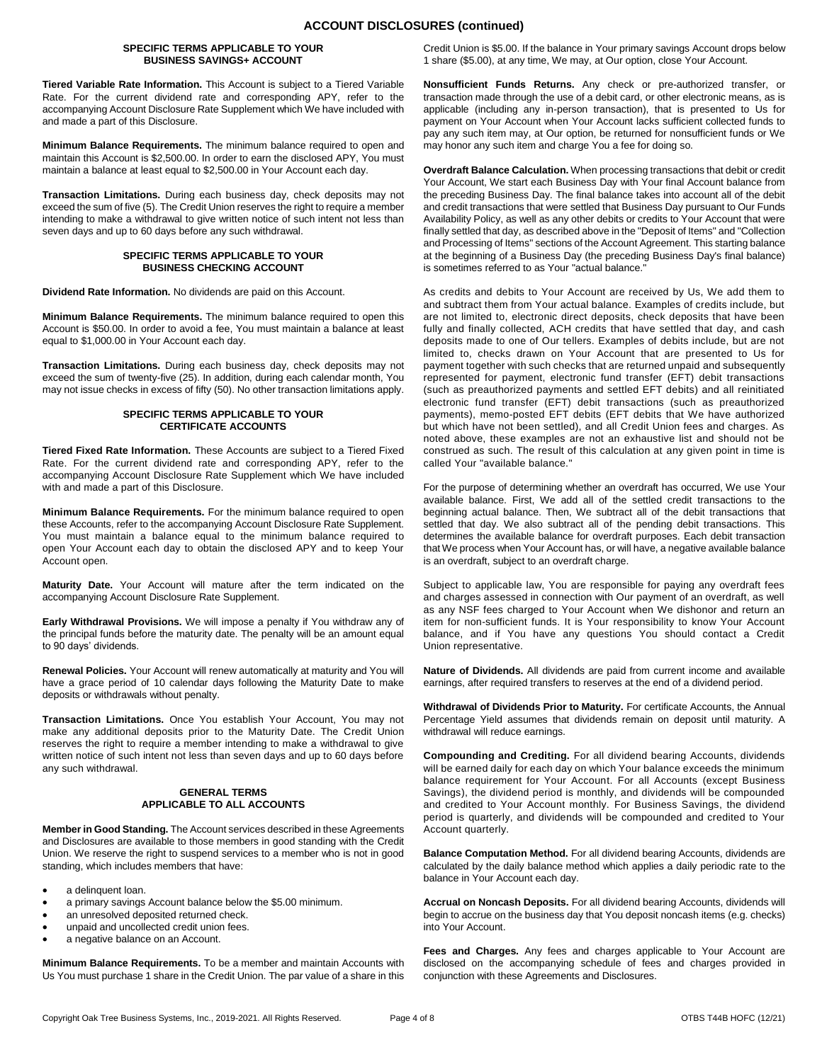#### **SPECIFIC TERMS APPLICABLE TO YOUR BUSINESS SAVINGS+ ACCOUNT**

**Tiered Variable Rate Information.** This Account is subject to a Tiered Variable Rate. For the current dividend rate and corresponding APY, refer to the accompanying Account Disclosure Rate Supplement which We have included with and made a part of this Disclosure.

**Minimum Balance Requirements.** The minimum balance required to open and maintain this Account is \$2,500.00. In order to earn the disclosed APY, You must maintain a balance at least equal to \$2,500.00 in Your Account each day.

**Transaction Limitations.** During each business day, check deposits may not exceed the sum of five (5). The Credit Union reserves the right to require a member intending to make a withdrawal to give written notice of such intent not less than seven days and up to 60 days before any such withdrawal.

#### **SPECIFIC TERMS APPLICABLE TO YOUR BUSINESS CHECKING ACCOUNT**

**Dividend Rate Information.** No dividends are paid on this Account.

**Minimum Balance Requirements.** The minimum balance required to open this Account is \$50.00. In order to avoid a fee, You must maintain a balance at least equal to \$1,000.00 in Your Account each day.

**Transaction Limitations.** During each business day, check deposits may not exceed the sum of twenty-five (25). In addition, during each calendar month, You may not issue checks in excess of fifty (50). No other transaction limitations apply.

### **SPECIFIC TERMS APPLICABLE TO YOUR CERTIFICATE ACCOUNTS**

**Tiered Fixed Rate Information.** These Accounts are subject to a Tiered Fixed Rate. For the current dividend rate and corresponding APY, refer to the accompanying Account Disclosure Rate Supplement which We have included with and made a part of this Disclosure.

**Minimum Balance Requirements.** For the minimum balance required to open these Accounts, refer to the accompanying Account Disclosure Rate Supplement. You must maintain a balance equal to the minimum balance required to open Your Account each day to obtain the disclosed APY and to keep Your Account open.

**Maturity Date.** Your Account will mature after the term indicated on the accompanying Account Disclosure Rate Supplement.

**Early Withdrawal Provisions.** We will impose a penalty if You withdraw any of the principal funds before the maturity date. The penalty will be an amount equal to 90 days' dividends.

**Renewal Policies.** Your Account will renew automatically at maturity and You will have a grace period of 10 calendar days following the Maturity Date to make deposits or withdrawals without penalty.

**Transaction Limitations.** Once You establish Your Account, You may not make any additional deposits prior to the Maturity Date. The Credit Union reserves the right to require a member intending to make a withdrawal to give written notice of such intent not less than seven days and up to 60 days before any such withdrawal.

#### **GENERAL TERMS APPLICABLE TO ALL ACCOUNTS**

**Member in Good Standing.** The Account services described in these Agreements and Disclosures are available to those members in good standing with the Credit Union. We reserve the right to suspend services to a member who is not in good standing, which includes members that have:

- a delinquent loan.
- a primary savings Account balance below the \$5.00 minimum.
- an unresolved deposited returned check.
- unpaid and uncollected credit union fees.
- a negative balance on an Account.

**Minimum Balance Requirements.** To be a member and maintain Accounts with Us You must purchase 1 share in the Credit Union. The par value of a share in this Credit Union is \$5.00. If the balance in Your primary savings Account drops below 1 share (\$5.00), at any time, We may, at Our option, close Your Account.

**Nonsufficient Funds Returns.** Any check or pre-authorized transfer, or transaction made through the use of a debit card, or other electronic means, as is applicable (including any in-person transaction), that is presented to Us for payment on Your Account when Your Account lacks sufficient collected funds to pay any such item may, at Our option, be returned for nonsufficient funds or We may honor any such item and charge You a fee for doing so.

**Overdraft Balance Calculation.** When processing transactions that debit or credit Your Account, We start each Business Day with Your final Account balance from the preceding Business Day. The final balance takes into account all of the debit and credit transactions that were settled that Business Day pursuant to Our Funds Availability Policy, as well as any other debits or credits to Your Account that were finally settled that day, as described above in the "Deposit of Items" and "Collection and Processing of Items" sections of the Account Agreement. This starting balance at the beginning of a Business Day (the preceding Business Day's final balance) is sometimes referred to as Your "actual balance."

As credits and debits to Your Account are received by Us, We add them to and subtract them from Your actual balance. Examples of credits include, but are not limited to, electronic direct deposits, check deposits that have been fully and finally collected, ACH credits that have settled that day, and cash deposits made to one of Our tellers. Examples of debits include, but are not limited to, checks drawn on Your Account that are presented to Us for payment together with such checks that are returned unpaid and subsequently represented for payment, electronic fund transfer (EFT) debit transactions (such as preauthorized payments and settled EFT debits) and all reinitiated electronic fund transfer (EFT) debit transactions (such as preauthorized payments), memo-posted EFT debits (EFT debits that We have authorized but which have not been settled), and all Credit Union fees and charges. As noted above, these examples are not an exhaustive list and should not be construed as such. The result of this calculation at any given point in time is called Your "available balance."

For the purpose of determining whether an overdraft has occurred, We use Your available balance. First, We add all of the settled credit transactions to the beginning actual balance. Then, We subtract all of the debit transactions that settled that day. We also subtract all of the pending debit transactions. This determines the available balance for overdraft purposes. Each debit transaction that We process when Your Account has, or will have, a negative available balance is an overdraft, subject to an overdraft charge.

Subject to applicable law, You are responsible for paying any overdraft fees and charges assessed in connection with Our payment of an overdraft, as well as any NSF fees charged to Your Account when We dishonor and return an item for non-sufficient funds. It is Your responsibility to know Your Account balance, and if You have any questions You should contact a Credit Union representative.

**Nature of Dividends.** All dividends are paid from current income and available earnings, after required transfers to reserves at the end of a dividend period.

**Withdrawal of Dividends Prior to Maturity.** For certificate Accounts, the Annual Percentage Yield assumes that dividends remain on deposit until maturity. A withdrawal will reduce earnings.

**Compounding and Crediting.** For all dividend bearing Accounts, dividends will be earned daily for each day on which Your balance exceeds the minimum balance requirement for Your Account. For all Accounts (except Business Savings), the dividend period is monthly, and dividends will be compounded and credited to Your Account monthly. For Business Savings, the dividend period is quarterly, and dividends will be compounded and credited to Your Account quarterly.

**Balance Computation Method.** For all dividend bearing Accounts, dividends are calculated by the daily balance method which applies a daily periodic rate to the balance in Your Account each day.

**Accrual on Noncash Deposits.** For all dividend bearing Accounts, dividends will begin to accrue on the business day that You deposit noncash items (e.g. checks) into Your Account.

**Fees and Charges.** Any fees and charges applicable to Your Account are disclosed on the accompanying schedule of fees and charges provided in conjunction with these Agreements and Disclosures.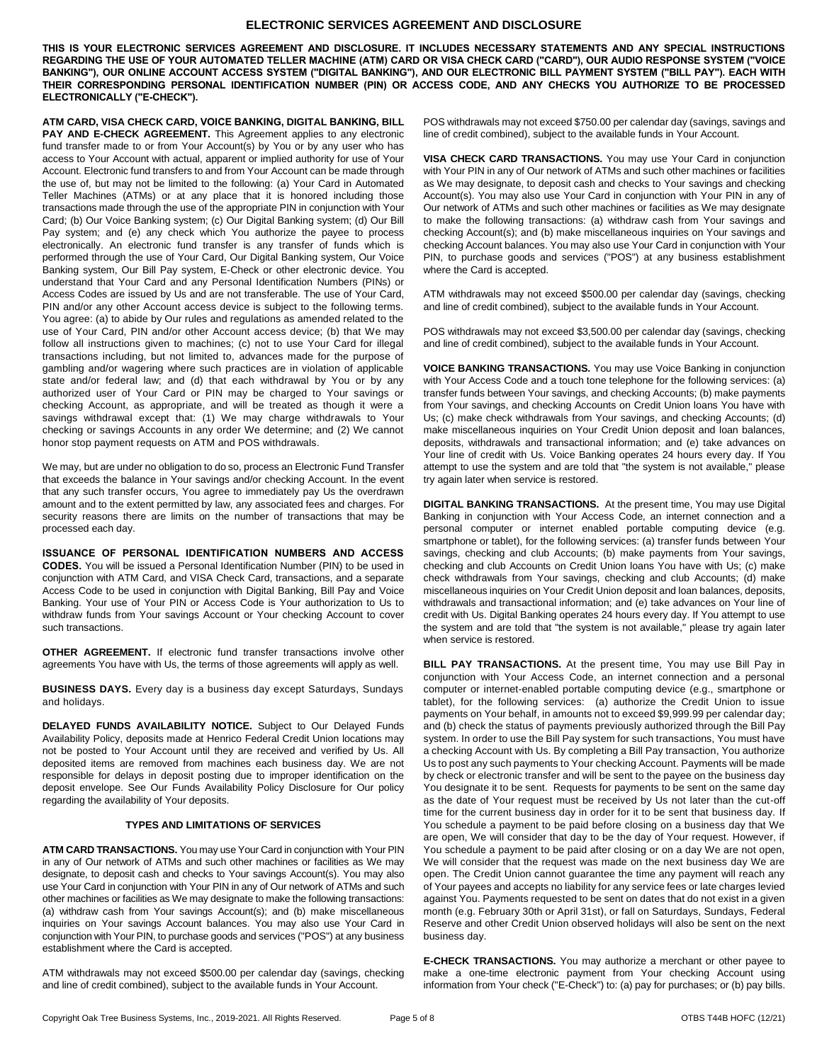## **ELECTRONIC SERVICES AGREEMENT AND DISCLOSURE**

**THIS IS YOUR ELECTRONIC SERVICES AGREEMENT AND DISCLOSURE. IT INCLUDES NECESSARY STATEMENTS AND ANY SPECIAL INSTRUCTIONS REGARDING THE USE OF YOUR AUTOMATED TELLER MACHINE (ATM) CARD OR VISA CHECK CARD ("CARD"), OUR AUDIO RESPONSE SYSTEM ("VOICE BANKING"), OUR ONLINE ACCOUNT ACCESS SYSTEM ("DIGITAL BANKING"), AND OUR ELECTRONIC BILL PAYMENT SYSTEM ("BILL PAY"). EACH WITH THEIR CORRESPONDING PERSONAL IDENTIFICATION NUMBER (PIN) OR ACCESS CODE, AND ANY CHECKS YOU AUTHORIZE TO BE PROCESSED ELECTRONICALLY ("E-CHECK").**

**ATM CARD, VISA CHECK CARD, VOICE BANKING, DIGITAL BANKING, BILL**  PAY AND E-CHECK AGREEMENT. This Agreement applies to any electronic fund transfer made to or from Your Account(s) by You or by any user who has access to Your Account with actual, apparent or implied authority for use of Your Account. Electronic fund transfers to and from Your Account can be made through the use of, but may not be limited to the following: (a) Your Card in Automated Teller Machines (ATMs) or at any place that it is honored including those transactions made through the use of the appropriate PIN in conjunction with Your Card; (b) Our Voice Banking system; (c) Our Digital Banking system; (d) Our Bill Pay system; and (e) any check which You authorize the payee to process electronically. An electronic fund transfer is any transfer of funds which is performed through the use of Your Card, Our Digital Banking system, Our Voice Banking system, Our Bill Pay system, E-Check or other electronic device. You understand that Your Card and any Personal Identification Numbers (PINs) or Access Codes are issued by Us and are not transferable. The use of Your Card, PIN and/or any other Account access device is subject to the following terms. You agree: (a) to abide by Our rules and regulations as amended related to the use of Your Card, PIN and/or other Account access device; (b) that We may follow all instructions given to machines; (c) not to use Your Card for illegal transactions including, but not limited to, advances made for the purpose of gambling and/or wagering where such practices are in violation of applicable state and/or federal law; and (d) that each withdrawal by You or by any authorized user of Your Card or PIN may be charged to Your savings or checking Account, as appropriate, and will be treated as though it were a savings withdrawal except that: (1) We may charge withdrawals to Your checking or savings Accounts in any order We determine; and (2) We cannot honor stop payment requests on ATM and POS withdrawals.

We may, but are under no obligation to do so, process an Electronic Fund Transfer that exceeds the balance in Your savings and/or checking Account. In the event that any such transfer occurs, You agree to immediately pay Us the overdrawn amount and to the extent permitted by law, any associated fees and charges. For security reasons there are limits on the number of transactions that may be processed each day.

**ISSUANCE OF PERSONAL IDENTIFICATION NUMBERS AND ACCESS CODES.** You will be issued a Personal Identification Number (PIN) to be used in conjunction with ATM Card, and VISA Check Card, transactions, and a separate Access Code to be used in conjunction with Digital Banking, Bill Pay and Voice Banking. Your use of Your PIN or Access Code is Your authorization to Us to withdraw funds from Your savings Account or Your checking Account to cover such transactions.

**OTHER AGREEMENT.** If electronic fund transfer transactions involve other agreements You have with Us, the terms of those agreements will apply as well.

**BUSINESS DAYS.** Every day is a business day except Saturdays, Sundays and holidays.

**DELAYED FUNDS AVAILABILITY NOTICE.** Subject to Our Delayed Funds Availability Policy, deposits made at Henrico Federal Credit Union locations may not be posted to Your Account until they are received and verified by Us. All deposited items are removed from machines each business day. We are not responsible for delays in deposit posting due to improper identification on the deposit envelope. See Our Funds Availability Policy Disclosure for Our policy regarding the availability of Your deposits.

## **TYPES AND LIMITATIONS OF SERVICES**

**ATM CARD TRANSACTIONS.** You may use Your Card in conjunction with Your PIN in any of Our network of ATMs and such other machines or facilities as We may designate, to deposit cash and checks to Your savings Account(s). You may also use Your Card in conjunction with Your PIN in any of Our network of ATMs and such other machines or facilities as We may designate to make the following transactions: (a) withdraw cash from Your savings Account(s); and (b) make miscellaneous inquiries on Your savings Account balances. You may also use Your Card in conjunction with Your PIN, to purchase goods and services ("POS") at any business establishment where the Card is accepted.

ATM withdrawals may not exceed \$500.00 per calendar day (savings, checking and line of credit combined), subject to the available funds in Your Account.

POS withdrawals may not exceed \$750.00 per calendar day (savings, savings and line of credit combined), subject to the available funds in Your Account.

**VISA CHECK CARD TRANSACTIONS.** You may use Your Card in conjunction with Your PIN in any of Our network of ATMs and such other machines or facilities as We may designate, to deposit cash and checks to Your savings and checking Account(s). You may also use Your Card in conjunction with Your PIN in any of Our network of ATMs and such other machines or facilities as We may designate to make the following transactions: (a) withdraw cash from Your savings and checking Account(s); and (b) make miscellaneous inquiries on Your savings and checking Account balances. You may also use Your Card in conjunction with Your PIN, to purchase goods and services ("POS") at any business establishment where the Card is accepted.

ATM withdrawals may not exceed \$500.00 per calendar day (savings, checking and line of credit combined), subject to the available funds in Your Account.

POS withdrawals may not exceed \$3,500.00 per calendar day (savings, checking and line of credit combined), subject to the available funds in Your Account.

**VOICE BANKING TRANSACTIONS.** You may use Voice Banking in conjunction with Your Access Code and a touch tone telephone for the following services: (a) transfer funds between Your savings, and checking Accounts; (b) make payments from Your savings, and checking Accounts on Credit Union loans You have with Us; (c) make check withdrawals from Your savings, and checking Accounts; (d) make miscellaneous inquiries on Your Credit Union deposit and loan balances, deposits, withdrawals and transactional information; and (e) take advances on Your line of credit with Us. Voice Banking operates 24 hours every day. If You attempt to use the system and are told that "the system is not available," please try again later when service is restored.

**DIGITAL BANKING TRANSACTIONS.** At the present time, You may use Digital Banking in conjunction with Your Access Code, an internet connection and a personal computer or internet enabled portable computing device (e.g. smartphone or tablet), for the following services: (a) transfer funds between Your savings, checking and club Accounts; (b) make payments from Your savings, checking and club Accounts on Credit Union loans You have with Us; (c) make check withdrawals from Your savings, checking and club Accounts; (d) make miscellaneous inquiries on Your Credit Union deposit and loan balances, deposits, withdrawals and transactional information; and (e) take advances on Your line of credit with Us. Digital Banking operates 24 hours every day. If You attempt to use the system and are told that "the system is not available," please try again later when service is restored.

**BILL PAY TRANSACTIONS.** At the present time, You may use Bill Pay in conjunction with Your Access Code, an internet connection and a personal computer or internet-enabled portable computing device (e.g., smartphone or tablet), for the following services: (a) authorize the Credit Union to issue payments on Your behalf, in amounts not to exceed \$9,999.99 per calendar day; and (b) check the status of payments previously authorized through the Bill Pay system. In order to use the Bill Pay system for such transactions, You must have a checking Account with Us. By completing a Bill Pay transaction, You authorize Us to post any such payments to Your checking Account. Payments will be made by check or electronic transfer and will be sent to the payee on the business day You designate it to be sent. Requests for payments to be sent on the same day as the date of Your request must be received by Us not later than the cut-off time for the current business day in order for it to be sent that business day. If You schedule a payment to be paid before closing on a business day that We are open, We will consider that day to be the day of Your request. However, if You schedule a payment to be paid after closing or on a day We are not open, We will consider that the request was made on the next business day We are open. The Credit Union cannot guarantee the time any payment will reach any of Your payees and accepts no liability for any service fees or late charges levied against You. Payments requested to be sent on dates that do not exist in a given month (e.g. February 30th or April 31st), or fall on Saturdays, Sundays, Federal Reserve and other Credit Union observed holidays will also be sent on the next business day.

**E-CHECK TRANSACTIONS.** You may authorize a merchant or other payee to make a one-time electronic payment from Your checking Account using information from Your check ("E-Check") to: (a) pay for purchases; or (b) pay bills.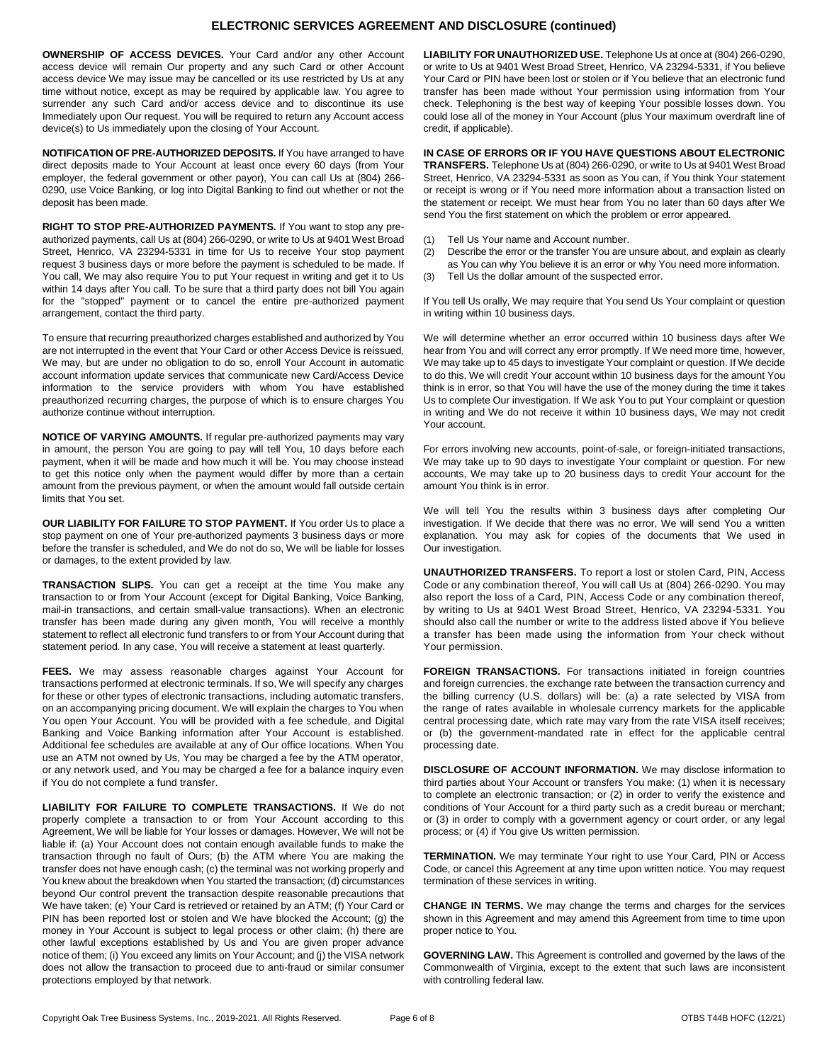# **ELECTRONIC SERVICES AGREEMENT AND DISCLOSURE (continued)**

**OWNERSHIP OF ACCESS DEVICES.** Your Card and/or any other Account access device will remain Our property and any such Card or other Account access device We may issue may be cancelled or its use restricted by Us at any time without notice, except as may be required by applicable law. You agree to surrender any such Card and/or access device and to discontinue its use Immediately upon Our request. You will be required to return any Account access device(s) to Us immediately upon the closing of Your Account.

**NOTIFICATION OF PRE-AUTHORIZED DEPOSITS.** If You have arranged to have direct deposits made to Your Account at least once every 60 days (from Your employer, the federal government or other payor), You can call Us at (804) 266- 0290, use Voice Banking, or log into Digital Banking to find out whether or not the deposit has been made.

**RIGHT TO STOP PRE-AUTHORIZED PAYMENTS.** If You want to stop any preauthorized payments, call Us at (804) 266-0290, or write to Us at 9401 West Broad Street, Henrico, VA 23294-5331 in time for Us to receive Your stop payment request 3 business days or more before the payment is scheduled to be made. If You call, We may also require You to put Your request in writing and get it to Us within 14 days after You call. To be sure that a third party does not bill You again for the "stopped" payment or to cancel the entire pre-authorized payment arrangement, contact the third party.

To ensure that recurring preauthorized charges established and authorized by You are not interrupted in the event that Your Card or other Access Device is reissued, We may, but are under no obligation to do so, enroll Your Account in automatic account information update services that communicate new Card/Access Device information to the service providers with whom You have established preauthorized recurring charges, the purpose of which is to ensure charges You authorize continue without interruption.

**NOTICE OF VARYING AMOUNTS.** If regular pre-authorized payments may vary in amount, the person You are going to pay will tell You, 10 days before each payment, when it will be made and how much it will be. You may choose instead to get this notice only when the payment would differ by more than a certain amount from the previous payment, or when the amount would fall outside certain limits that You set.

**OUR LIABILITY FOR FAILURE TO STOP PAYMENT.** If You order Us to place a stop payment on one of Your pre-authorized payments 3 business days or more before the transfer is scheduled, and We do not do so, We will be liable for losses or damages, to the extent provided by law.

**TRANSACTION SLIPS.** You can get a receipt at the time You make any transaction to or from Your Account (except for Digital Banking, Voice Banking, mail-in transactions, and certain small-value transactions). When an electronic transfer has been made during any given month, You will receive a monthly statement to reflect all electronic fund transfers to or from Your Account during that statement period. In any case, You will receive a statement at least quarterly.

**FEES.** We may assess reasonable charges against Your Account for transactions performed at electronic terminals. If so, We will specify any charges for these or other types of electronic transactions, including automatic transfers, on an accompanying pricing document. We will explain the charges to You when You open Your Account. You will be provided with a fee schedule, and Digital Banking and Voice Banking information after Your Account is established. Additional fee schedules are available at any of Our office locations. When You use an ATM not owned by Us, You may be charged a fee by the ATM operator, or any network used, and You may be charged a fee for a balance inquiry even if You do not complete a fund transfer.

**LIABILITY FOR FAILURE TO COMPLETE TRANSACTIONS.** If We do not properly complete a transaction to or from Your Account according to this Agreement, We will be liable for Your losses or damages. However, We will not be liable if: (a) Your Account does not contain enough available funds to make the transaction through no fault of Ours; (b) the ATM where You are making the transfer does not have enough cash; (c) the terminal was not working properly and You knew about the breakdown when You started the transaction; (d) circumstances beyond Our control prevent the transaction despite reasonable precautions that We have taken; (e) Your Card is retrieved or retained by an ATM; (f) Your Card or PIN has been reported lost or stolen and We have blocked the Account; (g) the money in Your Account is subject to legal process or other claim; (h) there are other lawful exceptions established by Us and You are given proper advance notice of them; (i) You exceed any limits on Your Account; and (j) the VISA network does not allow the transaction to proceed due to anti-fraud or similar consumer protections employed by that network.

**LIABILITY FOR UNAUTHORIZED USE.** Telephone Us at once at (804) 266-0290, or write to Us at 9401 West Broad Street, Henrico, VA 23294-5331, if You believe Your Card or PIN have been lost or stolen or if You believe that an electronic fund transfer has been made without Your permission using information from Your check. Telephoning is the best way of keeping Your possible losses down. You could lose all of the money in Your Account (plus Your maximum overdraft line of credit, if applicable).

**IN CASE OF ERRORS OR IF YOU HAVE QUESTIONS ABOUT ELECTRONIC TRANSFERS.** Telephone Us at (804) 266-0290, or write to Us at 9401 West Broad Street, Henrico, VA 23294-5331 as soon as You can, if You think Your statement or receipt is wrong or if You need more information about a transaction listed on the statement or receipt. We must hear from You no later than 60 days after We send You the first statement on which the problem or error appeared.

- (1) Tell Us Your name and Account number.
- (2) Describe the error or the transfer You are unsure about, and explain as clearly as You can why You believe it is an error or why You need more information.
- (3) Tell Us the dollar amount of the suspected error.

If You tell Us orally, We may require that You send Us Your complaint or question in writing within 10 business days.

We will determine whether an error occurred within 10 business days after We hear from You and will correct any error promptly. If We need more time, however, We may take up to 45 days to investigate Your complaint or question. If We decide to do this, We will credit Your account within 10 business days for the amount You think is in error, so that You will have the use of the money during the time it takes Us to complete Our investigation. If We ask You to put Your complaint or question in writing and We do not receive it within 10 business days, We may not credit Your account.

For errors involving new accounts, point-of-sale, or foreign-initiated transactions, We may take up to 90 days to investigate Your complaint or question. For new accounts, We may take up to 20 business days to credit Your account for the amount You think is in error.

We will tell You the results within 3 business days after completing Our investigation. If We decide that there was no error, We will send You a written explanation. You may ask for copies of the documents that We used in Our investigation.

**UNAUTHORIZED TRANSFERS.** To report a lost or stolen Card, PIN, Access Code or any combination thereof, You will call Us at (804) 266-0290. You may also report the loss of a Card, PIN, Access Code or any combination thereof, by writing to Us at 9401 West Broad Street, Henrico, VA 23294-5331. You should also call the number or write to the address listed above if You believe a transfer has been made using the information from Your check without Your permission.

**FOREIGN TRANSACTIONS.** For transactions initiated in foreign countries and foreign currencies, the exchange rate between the transaction currency and the billing currency (U.S. dollars) will be: (a) a rate selected by VISA from the range of rates available in wholesale currency markets for the applicable central processing date, which rate may vary from the rate VISA itself receives; or (b) the government-mandated rate in effect for the applicable central processing date.

**DISCLOSURE OF ACCOUNT INFORMATION.** We may disclose information to third parties about Your Account or transfers You make: (1) when it is necessary to complete an electronic transaction; or (2) in order to verify the existence and conditions of Your Account for a third party such as a credit bureau or merchant; or (3) in order to comply with a government agency or court order, or any legal process; or (4) if You give Us written permission.

**TERMINATION.** We may terminate Your right to use Your Card, PIN or Access Code, or cancel this Agreement at any time upon written notice. You may request termination of these services in writing.

**CHANGE IN TERMS.** We may change the terms and charges for the services shown in this Agreement and may amend this Agreement from time to time upon proper notice to You.

**GOVERNING LAW.** This Agreement is controlled and governed by the laws of the Commonwealth of Virginia, except to the extent that such laws are inconsistent with controlling federal law.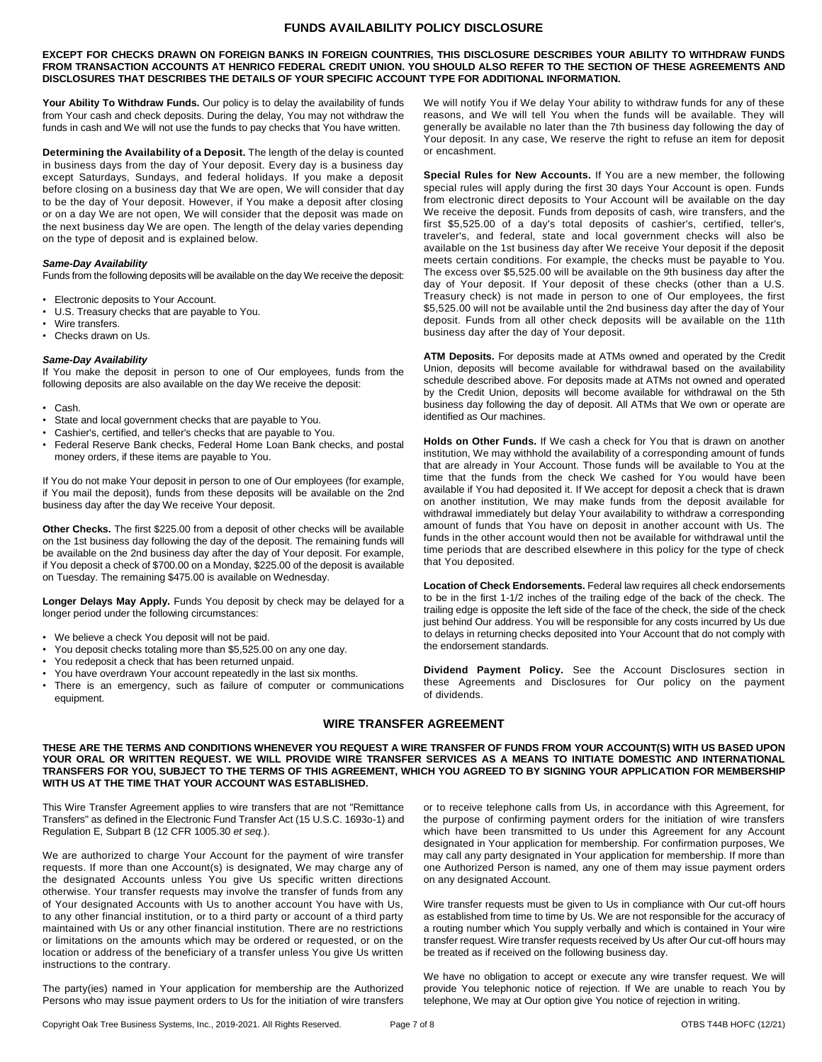## **FUNDS AVAILABILITY POLICY DISCLOSURE**

**EXCEPT FOR CHECKS DRAWN ON FOREIGN BANKS IN FOREIGN COUNTRIES, THIS DISCLOSURE DESCRIBES YOUR ABILITY TO WITHDRAW FUNDS FROM TRANSACTION ACCOUNTS AT HENRICO FEDERAL CREDIT UNION. YOU SHOULD ALSO REFER TO THE SECTION OF THESE AGREEMENTS AND DISCLOSURES THAT DESCRIBES THE DETAILS OF YOUR SPECIFIC ACCOUNT TYPE FOR ADDITIONAL INFORMATION.**

**Your Ability To Withdraw Funds.** Our policy is to delay the availability of funds from Your cash and check deposits. During the delay, You may not withdraw the funds in cash and We will not use the funds to pay checks that You have written.

**Determining the Availability of a Deposit.** The length of the delay is counted in business days from the day of Your deposit. Every day is a business day except Saturdays, Sundays, and federal holidays. If you make a deposit before closing on a business day that We are open, We will consider that day to be the day of Your deposit. However, if You make a deposit after closing or on a day We are not open, We will consider that the deposit was made on the next business day We are open. The length of the delay varies depending on the type of deposit and is explained below.

## *Same-Day Availability*

Funds from the following deposits will be available on the day We receive the deposit:

- Electronic deposits to Your Account.
- U.S. Treasury checks that are payable to You.
- Wire transfers.
- Checks drawn on Us.

#### *Same-Day Availability*

If You make the deposit in person to one of Our employees, funds from the following deposits are also available on the day We receive the deposit:

- Cash.
- State and local government checks that are payable to You.
- Cashier's, certified, and teller's checks that are payable to You.
- Federal Reserve Bank checks, Federal Home Loan Bank checks, and postal money orders, if these items are payable to You.

If You do not make Your deposit in person to one of Our employees (for example, if You mail the deposit), funds from these deposits will be available on the 2nd business day after the day We receive Your deposit.

**Other Checks.** The first \$225.00 from a deposit of other checks will be available on the 1st business day following the day of the deposit. The remaining funds will be available on the 2nd business day after the day of Your deposit. For example, if You deposit a check of \$700.00 on a Monday, \$225.00 of the deposit is available on Tuesday. The remaining \$475.00 is available on Wednesday.

Longer Delays May Apply. Funds You deposit by check may be delayed for a longer period under the following circumstances:

- We believe a check You deposit will not be paid.
- You deposit checks totaling more than \$5,525.00 on any one day.
- You redeposit a check that has been returned unpaid.
- You have overdrawn Your account repeatedly in the last six months.
- There is an emergency, such as failure of computer or communications equipment.

We will notify You if We delay Your ability to withdraw funds for any of these reasons, and We will tell You when the funds will be available. They will generally be available no later than the 7th business day following the day of Your deposit. In any case, We reserve the right to refuse an item for deposit or encashment.

**Special Rules for New Accounts.** If You are a new member, the following special rules will apply during the first 30 days Your Account is open. Funds from electronic direct deposits to Your Account will be available on the day We receive the deposit. Funds from deposits of cash, wire transfers, and the first \$5,525.00 of a day's total deposits of cashier's, certified, teller's, traveler's, and federal, state and local government checks will also be available on the 1st business day after We receive Your deposit if the deposit meets certain conditions. For example, the checks must be payable to You. The excess over \$5,525.00 will be available on the 9th business day after the day of Your deposit. If Your deposit of these checks (other than a U.S. Treasury check) is not made in person to one of Our employees, the first \$5,525.00 will not be available until the 2nd business day after the day of Your deposit. Funds from all other check deposits will be available on the 11th business day after the day of Your deposit.

**ATM Deposits.** For deposits made at ATMs owned and operated by the Credit Union, deposits will become available for withdrawal based on the availability schedule described above. For deposits made at ATMs not owned and operated by the Credit Union, deposits will become available for withdrawal on the 5th business day following the day of deposit. All ATMs that We own or operate are identified as Our machines.

**Holds on Other Funds.** If We cash a check for You that is drawn on another institution, We may withhold the availability of a corresponding amount of funds that are already in Your Account. Those funds will be available to You at the time that the funds from the check We cashed for You would have been available if You had deposited it. If We accept for deposit a check that is drawn on another institution, We may make funds from the deposit available for withdrawal immediately but delay Your availability to withdraw a corresponding amount of funds that You have on deposit in another account with Us. The funds in the other account would then not be available for withdrawal until the time periods that are described elsewhere in this policy for the type of check that You deposited.

**Location of Check Endorsements.** Federal law requires all check endorsements to be in the first 1-1/2 inches of the trailing edge of the back of the check. The trailing edge is opposite the left side of the face of the check, the side of the check just behind Our address. You will be responsible for any costs incurred by Us due to delays in returning checks deposited into Your Account that do not comply with the endorsement standards.

**Dividend Payment Policy.** See the Account Disclosures section in these Agreements and Disclosures for Our policy on the payment of dividends.

# **WIRE TRANSFER AGREEMENT**

**THESE ARE THE TERMS AND CONDITIONS WHENEVER YOU REQUEST A WIRE TRANSFER OF FUNDS FROM YOUR ACCOUNT(S) WITH US BASED UPON YOUR ORAL OR WRITTEN REQUEST. WE WILL PROVIDE WIRE TRANSFER SERVICES AS A MEANS TO INITIATE DOMESTIC AND INTERNATIONAL TRANSFERS FOR YOU, SUBJECT TO THE TERMS OF THIS AGREEMENT, WHICH YOU AGREED TO BY SIGNING YOUR APPLICATION FOR MEMBERSHIP WITH US AT THE TIME THAT YOUR ACCOUNT WAS ESTABLISHED.**

This Wire Transfer Agreement applies to wire transfers that are not "Remittance Transfers" as defined in the Electronic Fund Transfer Act (15 U.S.C. 1693o-1) and Regulation E, Subpart B (12 CFR 1005.30 *et seq.*).

We are authorized to charge Your Account for the payment of wire transfer requests. If more than one Account(s) is designated, We may charge any of the designated Accounts unless You give Us specific written directions otherwise. Your transfer requests may involve the transfer of funds from any of Your designated Accounts with Us to another account You have with Us, to any other financial institution, or to a third party or account of a third party maintained with Us or any other financial institution. There are no restrictions or limitations on the amounts which may be ordered or requested, or on the location or address of the beneficiary of a transfer unless You give Us written instructions to the contrary.

The party(ies) named in Your application for membership are the Authorized Persons who may issue payment orders to Us for the initiation of wire transfers

or to receive telephone calls from Us, in accordance with this Agreement, for the purpose of confirming payment orders for the initiation of wire transfers which have been transmitted to Us under this Agreement for any Account designated in Your application for membership. For confirmation purposes, We may call any party designated in Your application for membership. If more than one Authorized Person is named, any one of them may issue payment orders on any designated Account.

Wire transfer requests must be given to Us in compliance with Our cut-off hours as established from time to time by Us. We are not responsible for the accuracy of a routing number which You supply verbally and which is contained in Your wire transfer request. Wire transfer requests received by Us after Our cut-off hours may be treated as if received on the following business day.

We have no obligation to accept or execute any wire transfer request. We will provide You telephonic notice of rejection. If We are unable to reach You by telephone, We may at Our option give You notice of rejection in writing.